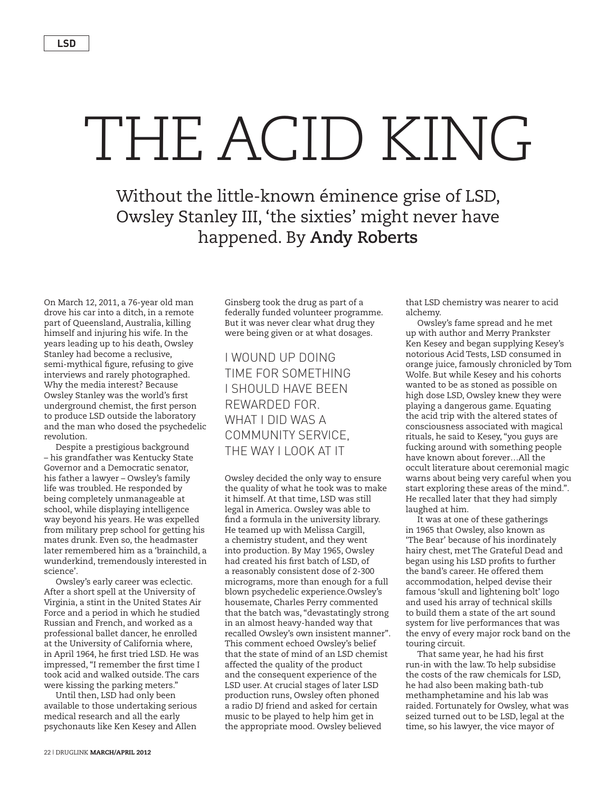## THE ACID KING

Without the little-known éminence grise of LSD, Owsley Stanley III, 'the sixties' might never have happened. By **Andy Roberts**

On March 12, 2011, a 76-year old man drove his car into a ditch, in a remote part of Queensland, Australia, killing himself and injuring his wife. In the years leading up to his death, Owsley Stanley had become a reclusive, semi-mythical figure, refusing to give interviews and rarely photographed. Why the media interest? Because Owsley Stanley was the world's first underground chemist, the first person to produce LSD outside the laboratory and the man who dosed the psychedelic revolution.

Despite a prestigious background – his grandfather was Kentucky State Governor and a Democratic senator, his father a lawyer – Owsley's family life was troubled. He responded by being completely unmanageable at school, while displaying intelligence way beyond his years. He was expelled from military prep school for getting his mates drunk. Even so, the headmaster later remembered him as a 'brainchild, a wunderkind, tremendously interested in science'.

Owsley's early career was eclectic. After a short spell at the University of Virginia, a stint in the United States Air Force and a period in which he studied Russian and French, and worked as a professional ballet dancer, he enrolled at the University of California where, in April 1964, he first tried LSD. He was impressed, "I remember the first time I took acid and walked outside. The cars were kissing the parking meters."

Until then, LSD had only been available to those undertaking serious medical research and all the early psychonauts like Ken Kesey and Allen

Ginsberg took the drug as part of a federally funded volunteer programme. But it was never clear what drug they were being given or at what dosages.

## I wound up doing time for something I should have been rewarded for. What I did was a community service, the way I look at it

Owsley decided the only way to ensure the quality of what he took was to make it himself. At that time, LSD was still legal in America. Owsley was able to find a formula in the university library. He teamed up with Melissa Cargill, a chemistry student, and they went into production. By May 1965, Owsley had created his first batch of LSD, of a reasonably consistent dose of 2-300 micrograms, more than enough for a full blown psychedelic experience.Owsley's housemate, Charles Perry commented that the batch was, "devastatingly strong in an almost heavy-handed way that recalled Owsley's own insistent manner". This comment echoed Owsley's belief that the state of mind of an LSD chemist affected the quality of the product and the consequent experience of the LSD user. At crucial stages of later LSD production runs, Owsley often phoned a radio DJ friend and asked for certain music to be played to help him get in the appropriate mood. Owsley believed

that LSD chemistry was nearer to acid alchemy.

Owsley's fame spread and he met up with author and Merry Prankster Ken Kesey and began supplying Kesey's notorious Acid Tests, LSD consumed in orange juice, famously chronicled by Tom Wolfe. But while Kesey and his cohorts wanted to be as stoned as possible on high dose LSD, Owsley knew they were playing a dangerous game. Equating the acid trip with the altered states of consciousness associated with magical rituals, he said to Kesey, "you guys are fucking around with something people have known about forever…All the occult literature about ceremonial magic warns about being very careful when you start exploring these areas of the mind.". He recalled later that they had simply laughed at him.

It was at one of these gatherings in 1965 that Owsley, also known as 'The Bear' because of his inordinately hairy chest, met The Grateful Dead and began using his LSD profits to further the band's career. He offered them accommodation, helped devise their famous 'skull and lightening bolt' logo and used his array of technical skills to build them a state of the art sound system for live performances that was the envy of every major rock band on the touring circuit.

That same year, he had his first run-in with the law. To help subsidise the costs of the raw chemicals for LSD, he had also been making bath-tub methamphetamine and his lab was raided. Fortunately for Owsley, what was seized turned out to be LSD, legal at the time, so his lawyer, the vice mayor of